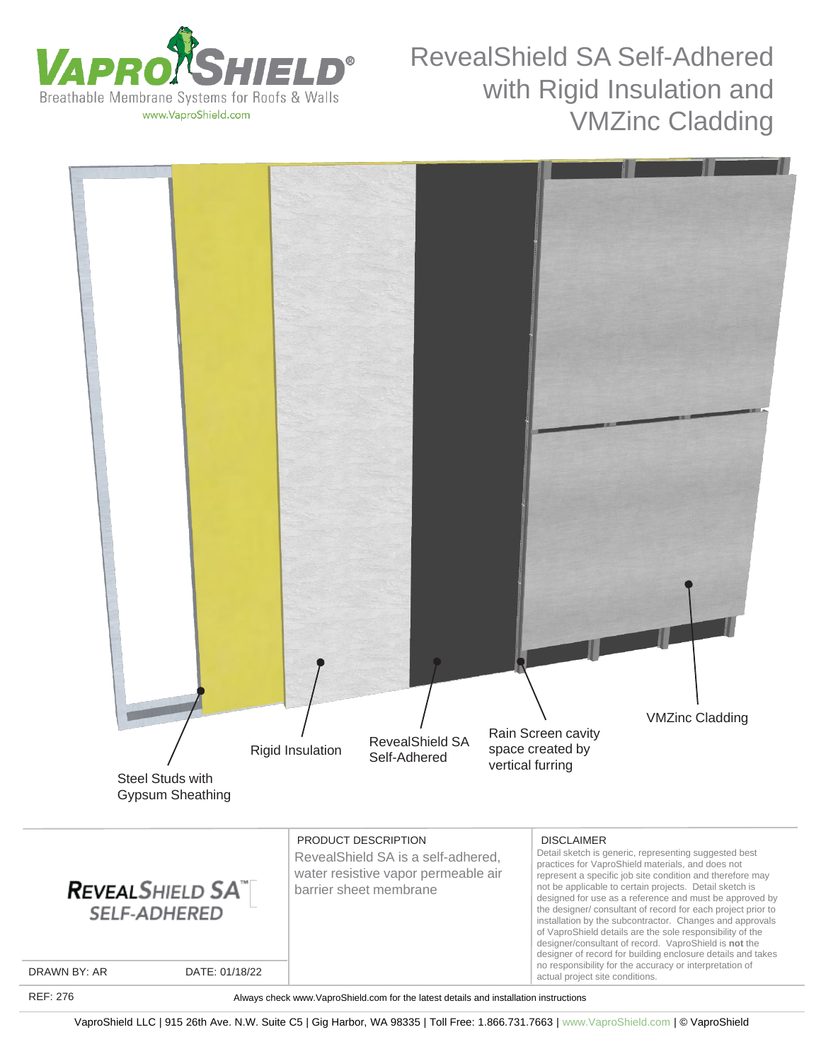

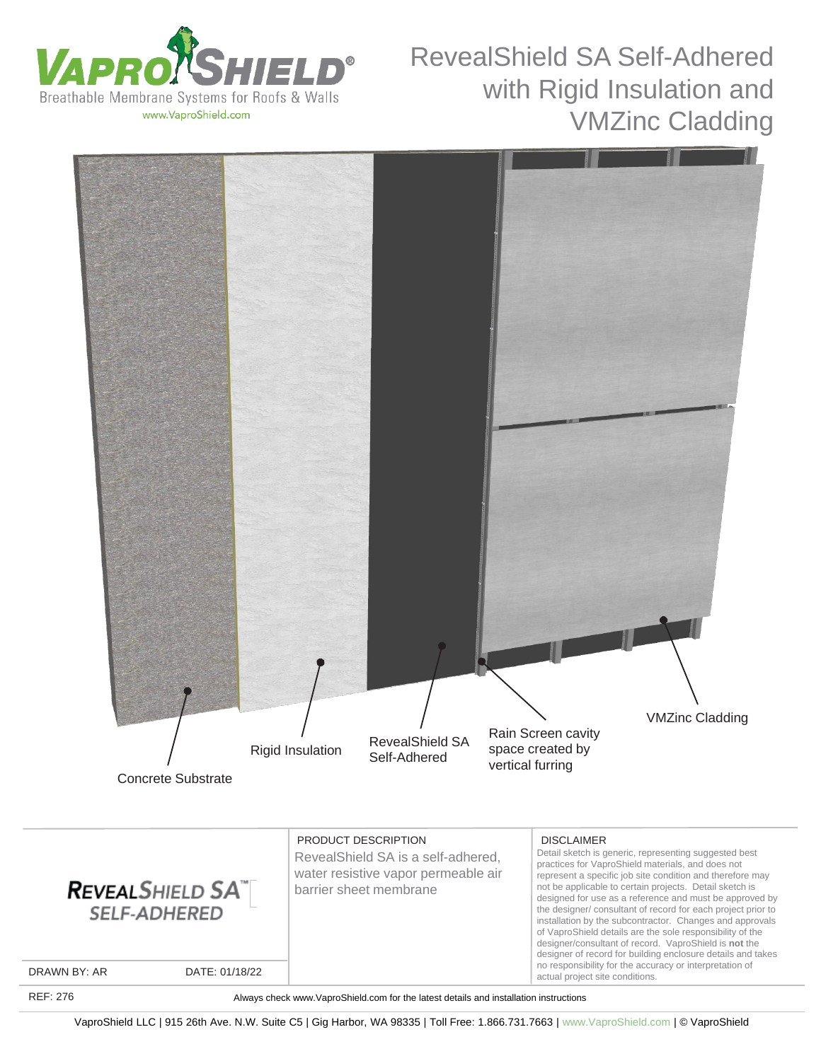

of VaproShield details are the sole responsibility of the designer/consultant of record. VaproShield is **not** the designer of record for building enclosure details and takes no responsibility for the accuracy or interpretation of

actual project site conditions.



DRAWN BY: AR DATE: 01/18/22

REF: 276

Always check www.VaproShield.com for the latest details and installation instructions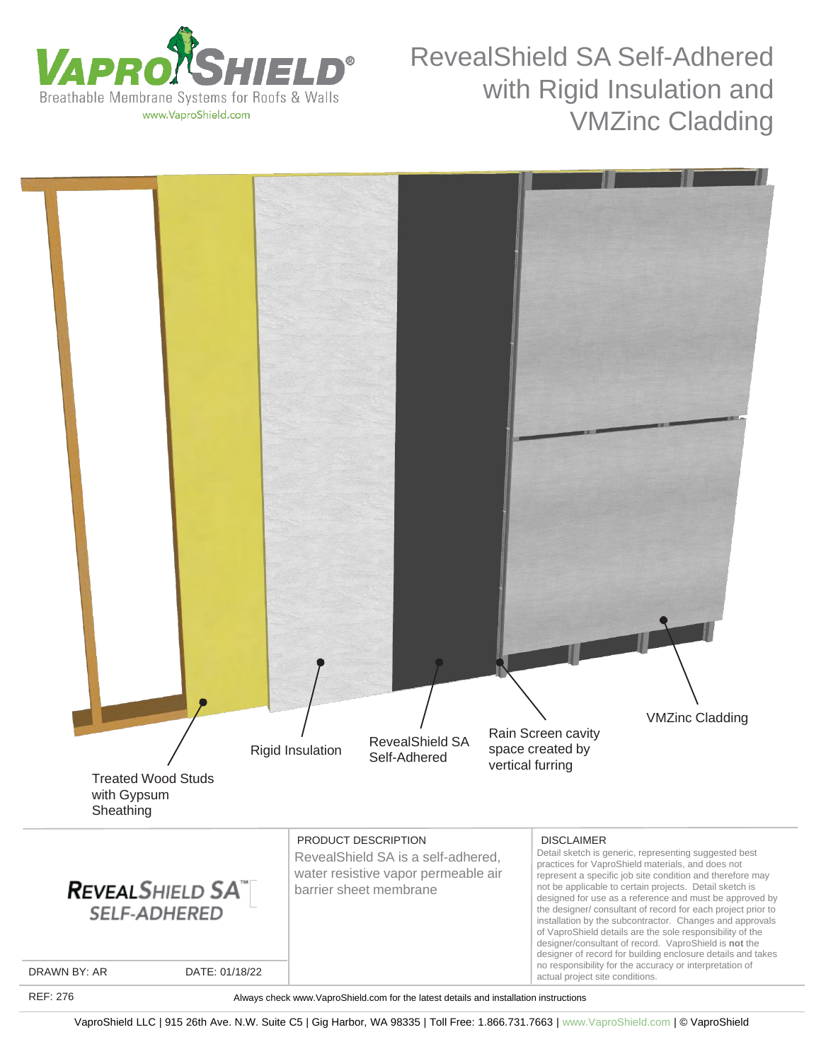